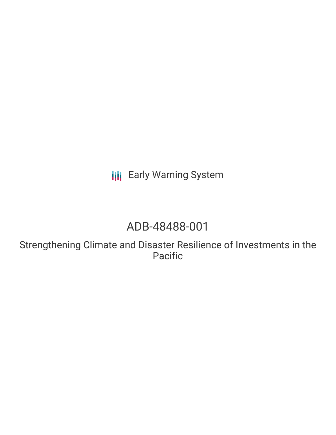**III** Early Warning System

# ADB-48488-001

Strengthening Climate and Disaster Resilience of Investments in the Pacific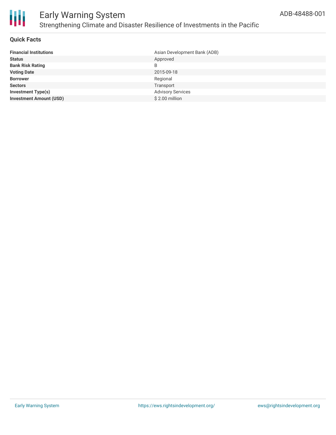

#### **Quick Facts**

| <b>Financial Institutions</b>  | Asian Development Bank (ADB) |
|--------------------------------|------------------------------|
| <b>Status</b>                  | Approved                     |
| <b>Bank Risk Rating</b>        | B                            |
| <b>Voting Date</b>             | 2015-09-18                   |
| <b>Borrower</b>                | Regional                     |
| <b>Sectors</b>                 | Transport                    |
| <b>Investment Type(s)</b>      | <b>Advisory Services</b>     |
| <b>Investment Amount (USD)</b> | \$2.00 million               |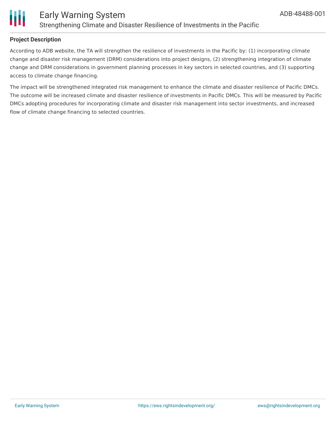

#### **Project Description**

According to ADB website, the TA will strengthen the resilience of investments in the Pacific by: (1) incorporating climate change and disaster risk management (DRM) considerations into project designs, (2) strengthening integration of climate change and DRM considerations in government planning processes in key sectors in selected countries, and (3) supporting access to climate change financing.

The impact will be strengthened integrated risk management to enhance the climate and disaster resilience of Pacific DMCs. The outcome will be increased climate and disaster resilience of investments in Pacific DMCs. This will be measured by Pacific DMCs adopting procedures for incorporating climate and disaster risk management into sector investments, and increased flow of climate change financing to selected countries.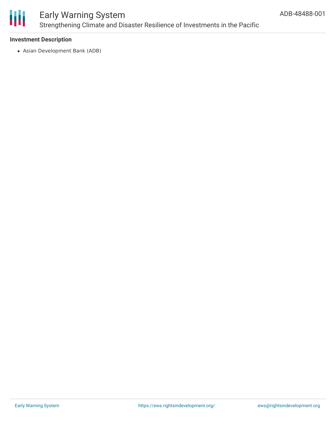

#### **Investment Description**

Asian Development Bank (ADB)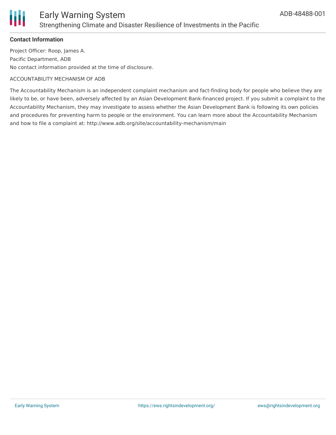

#### **Contact Information**

Project Officer: Roop, James A. Pacific Department, ADB No contact information provided at the time of disclosure.

#### ACCOUNTABILITY MECHANISM OF ADB

The Accountability Mechanism is an independent complaint mechanism and fact-finding body for people who believe they are likely to be, or have been, adversely affected by an Asian Development Bank-financed project. If you submit a complaint to the Accountability Mechanism, they may investigate to assess whether the Asian Development Bank is following its own policies and procedures for preventing harm to people or the environment. You can learn more about the Accountability Mechanism and how to file a complaint at: http://www.adb.org/site/accountability-mechanism/main